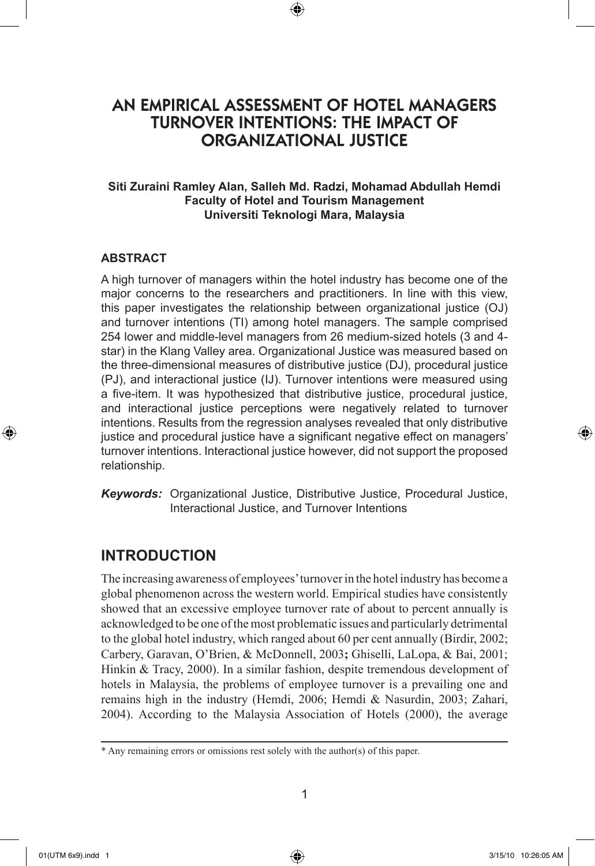# AN EMPIRICAL ASSESSMENT OF HOTEL MANAGERS TURNOVER INTENTIONS: THE IMPACT OF ORGANIZATIONAL JUSTICE

⊕

## **Siti Zuraini Ramley Alan, Salleh Md. Radzi, Mohamad Abdullah Hemdi Faculty of Hotel and Tourism Management Universiti Teknologi Mara, Malaysia**

### **ABSTRACT**

A high turnover of managers within the hotel industry has become one of the major concerns to the researchers and practitioners. In line with this view, this paper investigates the relationship between organizational justice (OJ) and turnover intentions (TI) among hotel managers. The sample comprised 254 lower and middle-level managers from 26 medium-sized hotels (3 and 4 star) in the Klang Valley area. Organizational Justice was measured based on the three-dimensional measures of distributive justice (DJ), procedural justice (PJ), and interactional justice (IJ). Turnover intentions were measured using a five-item. It was hypothesized that distributive justice, procedural justice, and interactional justice perceptions were negatively related to turnover intentions. Results from the regression analyses revealed that only distributive justice and procedural justice have a significant negative effect on managers' turnover intentions. Interactional justice however, did not support the proposed relationship.

*Keywords:* Organizational Justice, Distributive Justice, Procedural Justice, Interactional Justice, and Turnover Intentions

# **INTRODUCTION**

The increasing awareness of employees' turnover in the hotel industry has become a global phenomenon across the western world. Empirical studies have consistently showed that an excessive employee turnover rate of about to percent annually is acknowledged to be one of the most problematic issues and particularly detrimental to the global hotel industry, which ranged about 60 per cent annually (Birdir, 2002; Carbery, Garavan, O'Brien, & McDonnell, 2003**;** Ghiselli, LaLopa, & Bai, 2001; Hinkin & Tracy, 2000). In a similar fashion, despite tremendous development of hotels in Malaysia, the problems of employee turnover is a prevailing one and remains high in the industry (Hemdi, 2006; Hemdi & Nasurdin, 2003; Zahari, 2004). According to the Malaysia Association of Hotels (2000), the average

⊕

<sup>\*</sup> Any remaining errors or omissions rest solely with the author(s) of this paper.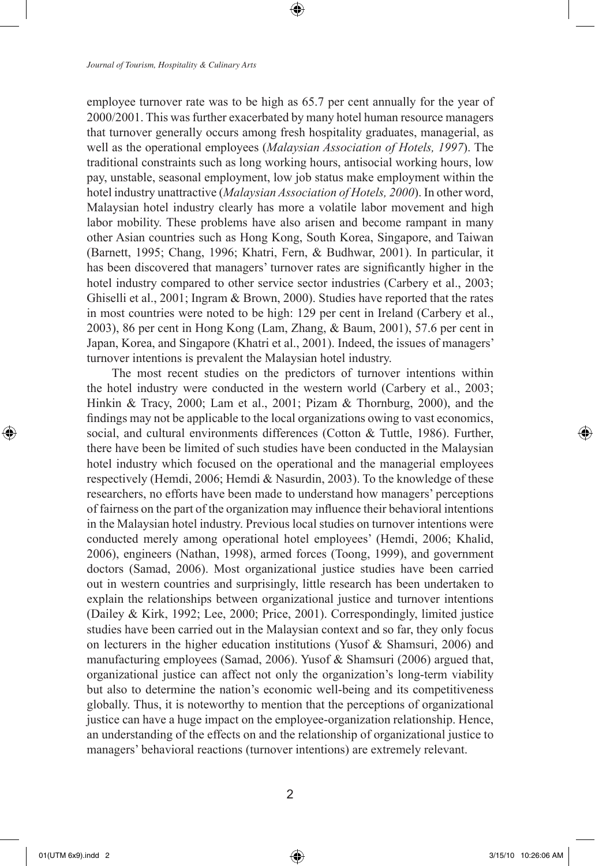employee turnover rate was to be high as 65.7 per cent annually for the year of 2000/2001. This was further exacerbated by many hotel human resource managers that turnover generally occurs among fresh hospitality graduates, managerial, as well as the operational employees (*Malaysian Association of Hotels, 1997*). The traditional constraints such as long working hours, antisocial working hours, low pay, unstable, seasonal employment, low job status make employment within the hotel industry unattractive (*Malaysian Association of Hotels, 2000*). In other word, Malaysian hotel industry clearly has more a volatile labor movement and high labor mobility. These problems have also arisen and become rampant in many other Asian countries such as Hong Kong, South Korea, Singapore, and Taiwan (Barnett, 1995; Chang, 1996; Khatri, Fern, & Budhwar, 2001). In particular, it has been discovered that managers' turnover rates are significantly higher in the hotel industry compared to other service sector industries (Carbery et al., 2003; Ghiselli et al., 2001; Ingram & Brown, 2000). Studies have reported that the rates in most countries were noted to be high: 129 per cent in Ireland (Carbery et al., 2003), 86 per cent in Hong Kong (Lam, Zhang, & Baum, 2001), 57.6 per cent in Japan, Korea, and Singapore (Khatri et al., 2001). Indeed, the issues of managers' turnover intentions is prevalent the Malaysian hotel industry.

The most recent studies on the predictors of turnover intentions within the hotel industry were conducted in the western world (Carbery et al., 2003; Hinkin & Tracy, 2000; Lam et al., 2001; Pizam & Thornburg, 2000), and the findings may not be applicable to the local organizations owing to vast economics, social, and cultural environments differences (Cotton & Tuttle, 1986). Further, there have been be limited of such studies have been conducted in the Malaysian hotel industry which focused on the operational and the managerial employees respectively (Hemdi, 2006; Hemdi & Nasurdin, 2003). To the knowledge of these researchers, no efforts have been made to understand how managers' perceptions of fairness on the part of the organization may influence their behavioral intentions in the Malaysian hotel industry. Previous local studies on turnover intentions were conducted merely among operational hotel employees' (Hemdi, 2006; Khalid, 2006), engineers (Nathan, 1998), armed forces (Toong, 1999), and government doctors (Samad, 2006). Most organizational justice studies have been carried out in western countries and surprisingly, little research has been undertaken to explain the relationships between organizational justice and turnover intentions (Dailey & Kirk, 1992; Lee, 2000; Price, 2001). Correspondingly, limited justice studies have been carried out in the Malaysian context and so far, they only focus on lecturers in the higher education institutions (Yusof & Shamsuri, 2006) and manufacturing employees (Samad, 2006). Yusof & Shamsuri (2006) argued that, organizational justice can affect not only the organization's long-term viability but also to determine the nation's economic well-being and its competitiveness globally. Thus, it is noteworthy to mention that the perceptions of organizational justice can have a huge impact on the employee-organization relationship. Hence, an understanding of the effects on and the relationship of organizational justice to managers' behavioral reactions (turnover intentions) are extremely relevant.

⊕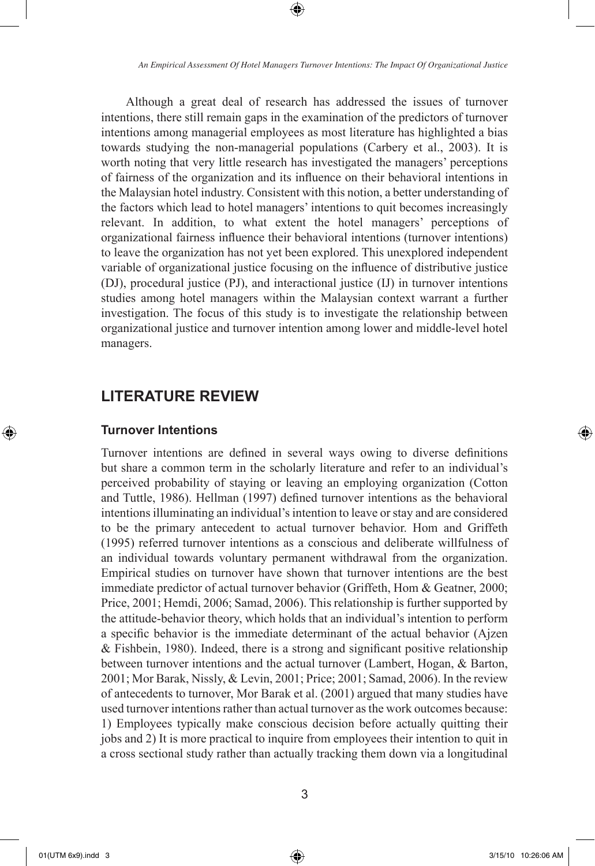⊕

Although a great deal of research has addressed the issues of turnover intentions, there still remain gaps in the examination of the predictors of turnover intentions among managerial employees as most literature has highlighted a bias towards studying the non-managerial populations (Carbery et al., 2003). It is worth noting that very little research has investigated the managers' perceptions of fairness of the organization and its influence on their behavioral intentions in the Malaysian hotel industry. Consistent with this notion, a better understanding of the factors which lead to hotel managers' intentions to quit becomes increasingly relevant. In addition, to what extent the hotel managers' perceptions of organizational fairness influence their behavioral intentions (turnover intentions) to leave the organization has not yet been explored. This unexplored independent variable of organizational justice focusing on the influence of distributive justice (DJ), procedural justice (PJ), and interactional justice (IJ) in turnover intentions studies among hotel managers within the Malaysian context warrant a further investigation. The focus of this study is to investigate the relationship between organizational justice and turnover intention among lower and middle-level hotel managers.

# **LITERATURE REVIEW**

### **Turnover Intentions**

Turnover intentions are defined in several ways owing to diverse definitions but share a common term in the scholarly literature and refer to an individual's perceived probability of staying or leaving an employing organization (Cotton and Tuttle, 1986). Hellman (1997) defined turnover intentions as the behavioral intentions illuminating an individual's intention to leave or stay and are considered to be the primary antecedent to actual turnover behavior. Hom and Griffeth (1995) referred turnover intentions as a conscious and deliberate willfulness of an individual towards voluntary permanent withdrawal from the organization. Empirical studies on turnover have shown that turnover intentions are the best immediate predictor of actual turnover behavior (Griffeth, Hom & Geatner, 2000; Price, 2001; Hemdi, 2006; Samad, 2006). This relationship is further supported by the attitude-behavior theory, which holds that an individual's intention to perform a specific behavior is the immediate determinant of the actual behavior (Ajzen & Fishbein, 1980). Indeed, there is a strong and significant positive relationship between turnover intentions and the actual turnover (Lambert, Hogan, & Barton, 2001; Mor Barak, Nissly, & Levin, 2001; Price; 2001; Samad, 2006). In the review of antecedents to turnover, Mor Barak et al. (2001) argued that many studies have used turnover intentions rather than actual turnover as the work outcomes because: 1) Employees typically make conscious decision before actually quitting their jobs and 2) It is more practical to inquire from employees their intention to quit in a cross sectional study rather than actually tracking them down via a longitudinal

⊕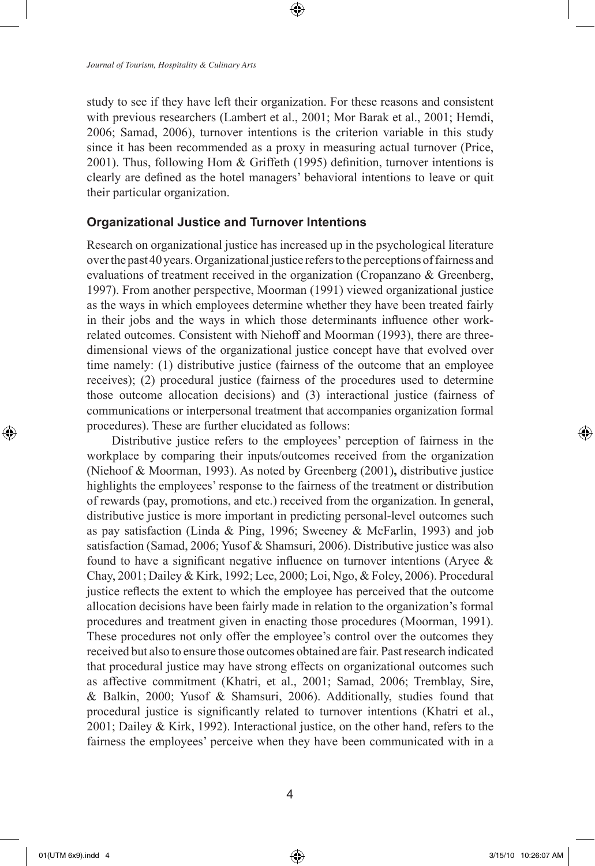study to see if they have left their organization. For these reasons and consistent with previous researchers (Lambert et al., 2001; Mor Barak et al., 2001; Hemdi, 2006; Samad, 2006), turnover intentions is the criterion variable in this study since it has been recommended as a proxy in measuring actual turnover (Price, 2001). Thus, following Hom & Griffeth (1995) definition, turnover intentions is clearly are defined as the hotel managers' behavioral intentions to leave or quit their particular organization.

#### **Organizational Justice and Turnover Intentions**

Research on organizational justice has increased up in the psychological literature over the past 40 years. Organizational justice refers to the perceptions of fairness and evaluations of treatment received in the organization (Cropanzano & Greenberg, 1997). From another perspective, Moorman (1991) viewed organizational justice as the ways in which employees determine whether they have been treated fairly in their jobs and the ways in which those determinants influence other workrelated outcomes. Consistent with Niehoff and Moorman (1993), there are threedimensional views of the organizational justice concept have that evolved over time namely: (1) distributive justice (fairness of the outcome that an employee receives); (2) procedural justice (fairness of the procedures used to determine those outcome allocation decisions) and (3) interactional justice (fairness of communications or interpersonal treatment that accompanies organization formal procedures). These are further elucidated as follows:

Distributive justice refers to the employees' perception of fairness in the workplace by comparing their inputs/outcomes received from the organization (Niehoof & Moorman, 1993). As noted by Greenberg (2001)**,** distributive justice highlights the employees' response to the fairness of the treatment or distribution of rewards (pay, promotions, and etc.) received from the organization. In general, distributive justice is more important in predicting personal-level outcomes such as pay satisfaction (Linda & Ping, 1996; Sweeney & McFarlin, 1993) and job satisfaction (Samad, 2006; Yusof & Shamsuri, 2006). Distributive justice was also found to have a significant negative influence on turnover intentions (Aryee & Chay, 2001; Dailey & Kirk, 1992; Lee, 2000; Loi, Ngo, & Foley, 2006). Procedural justice reflects the extent to which the employee has perceived that the outcome allocation decisions have been fairly made in relation to the organization's formal procedures and treatment given in enacting those procedures (Moorman, 1991). These procedures not only offer the employee's control over the outcomes they received but also to ensure those outcomes obtained are fair. Past research indicated that procedural justice may have strong effects on organizational outcomes such as affective commitment (Khatri, et al., 2001; Samad, 2006; Tremblay, Sire, & Balkin, 2000; Yusof & Shamsuri, 2006). Additionally, studies found that procedural justice is significantly related to turnover intentions (Khatri et al., 2001; Dailey & Kirk, 1992). Interactional justice, on the other hand, refers to the fairness the employees' perceive when they have been communicated with in a

⊕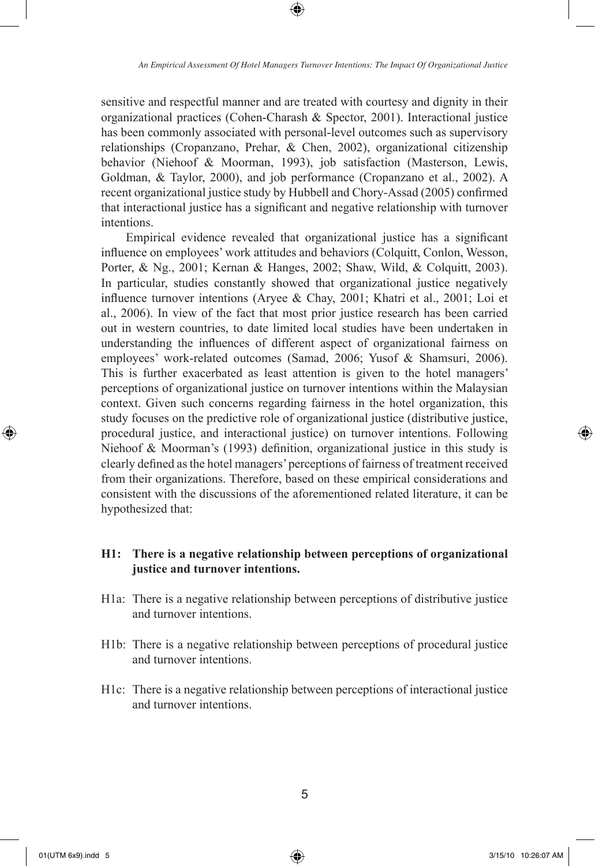⊕

sensitive and respectful manner and are treated with courtesy and dignity in their organizational practices (Cohen-Charash & Spector, 2001). Interactional justice has been commonly associated with personal-level outcomes such as supervisory relationships (Cropanzano, Prehar, & Chen, 2002), organizational citizenship behavior (Niehoof & Moorman, 1993), job satisfaction (Masterson, Lewis, Goldman, & Taylor, 2000), and job performance (Cropanzano et al., 2002). A recent organizational justice study by Hubbell and Chory-Assad (2005) confirmed that interactional justice has a significant and negative relationship with turnover intentions.

Empirical evidence revealed that organizational justice has a significant influence on employees' work attitudes and behaviors (Colquitt, Conlon, Wesson, Porter, & Ng., 2001; Kernan & Hanges, 2002; Shaw, Wild, & Colquitt, 2003). In particular, studies constantly showed that organizational justice negatively influence turnover intentions (Aryee & Chay, 2001; Khatri et al., 2001; Loi et al., 2006). In view of the fact that most prior justice research has been carried out in western countries, to date limited local studies have been undertaken in understanding the influences of different aspect of organizational fairness on employees' work-related outcomes (Samad, 2006; Yusof & Shamsuri, 2006). This is further exacerbated as least attention is given to the hotel managers' perceptions of organizational justice on turnover intentions within the Malaysian context. Given such concerns regarding fairness in the hotel organization, this study focuses on the predictive role of organizational justice (distributive justice, procedural justice, and interactional justice) on turnover intentions. Following Niehoof & Moorman's (1993) definition, organizational justice in this study is clearly defined as the hotel managers' perceptions of fairness of treatment received from their organizations. Therefore, based on these empirical considerations and consistent with the discussions of the aforementioned related literature, it can be hypothesized that:

## **H1: There is a negative relationship between perceptions of organizational justice and turnover intentions.**

- H1a: There is a negative relationship between perceptions of distributive justice and turnover intentions.
- H1b: There is a negative relationship between perceptions of procedural justice and turnover intentions.
- H1c: There is a negative relationship between perceptions of interactional justice and turnover intentions.

⊕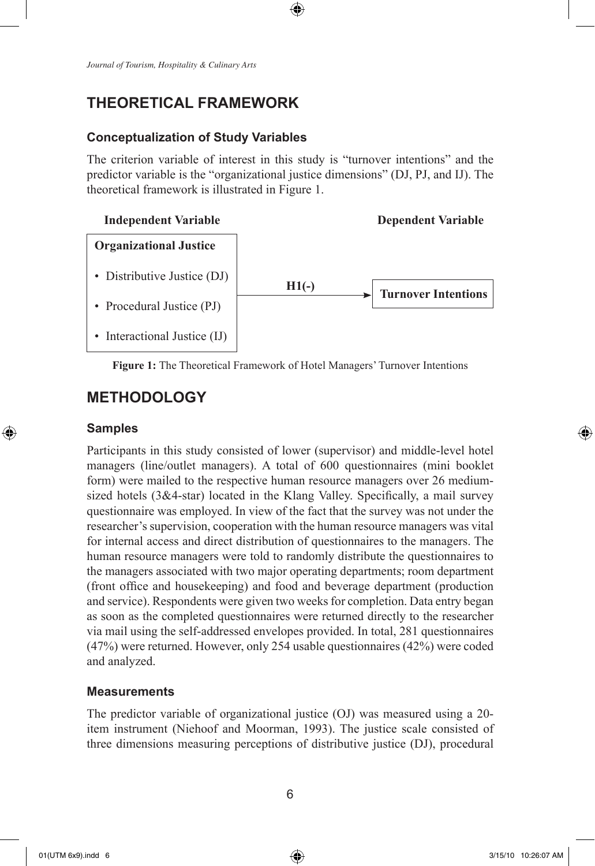# **THEORETICAL FRAMEWORK**

#### **Conceptualization of Study Variables**

The criterion variable of interest in this study is "turnover intentions" and the predictor variable is the "organizational justice dimensions" (DJ, PJ, and IJ). The theoretical framework is illustrated in Figure 1.

⊕



**Figure 1:** The Theoretical Framework of Hotel Managers' Turnover Intentions

# **METHODOLOGY**

#### **Samples**

⊕

Participants in this study consisted of lower (supervisor) and middle-level hotel managers (line/outlet managers). A total of 600 questionnaires (mini booklet form) were mailed to the respective human resource managers over 26 mediumsized hotels (3&4-star) located in the Klang Valley. Specifically, a mail survey questionnaire was employed. In view of the fact that the survey was not under the researcher's supervision, cooperation with the human resource managers was vital for internal access and direct distribution of questionnaires to the managers. The human resource managers were told to randomly distribute the questionnaires to the managers associated with two major operating departments; room department (front office and housekeeping) and food and beverage department (production and service). Respondents were given two weeks for completion. Data entry began as soon as the completed questionnaires were returned directly to the researcher via mail using the self-addressed envelopes provided. In total, 281 questionnaires (47%) were returned. However, only 254 usable questionnaires (42%) were coded and analyzed.

#### **Measurements**

The predictor variable of organizational justice (OJ) was measured using a 20 item instrument (Niehoof and Moorman, 1993). The justice scale consisted of three dimensions measuring perceptions of distributive justice (DJ), procedural

↔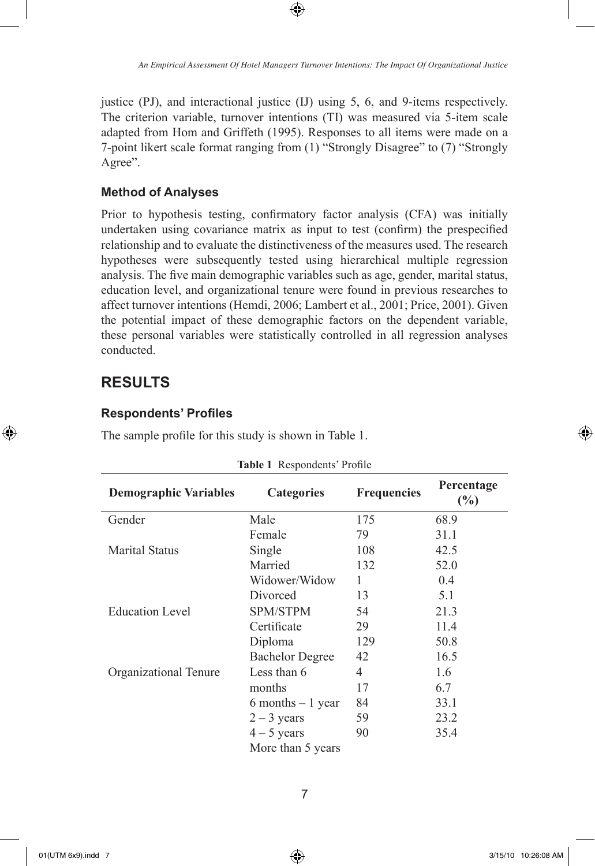*An Empirical Assessment Of Hotel Managers Turnover Intentions: The Impact Of Organizational Justice*

justice (PJ), and interactional justice (IJ) using 5, 6, and 9-items respectively. The criterion variable, turnover intentions (TI) was measured via 5-item scale adapted from Hom and Griffeth (1995). Responses to all items were made on a 7-point likert scale format ranging from (1) "Strongly Disagree" to (7) "Strongly Agree".

⊕

### **Method of Analyses**

Prior to hypothesis testing, confirmatory factor analysis (CFA) was initially undertaken using covariance matrix as input to test (confirm) the prespecified relationship and to evaluate the distinctiveness of the measures used. The research hypotheses were subsequently tested using hierarchical multiple regression analysis. The five main demographic variables such as age, gender, marital status, education level, and organizational tenure were found in previous researches to affect turnover intentions (Hemdi, 2006; Lambert et al., 2001; Price, 2001). Given the potential impact of these demographic factors on the dependent variable, these personal variables were statistically controlled in all regression analyses conducted.

# **RESULTS**

⊕

#### **Respondents' Profiles**

The sample profile for this study is shown in Table 1.

| <b>Demographic Variables</b> | <b>Categories</b>      | <b>Frequencies</b> | Percentage<br>$\frac{6}{2}$ |  |
|------------------------------|------------------------|--------------------|-----------------------------|--|
| Gender                       | Male                   | 175                | 68.9                        |  |
|                              | Female                 | 79                 | 31.1                        |  |
| <b>Marital Status</b>        | Single                 | 108                | 42.5                        |  |
|                              | Married                | 132                | 52.0                        |  |
|                              | Widower/Widow          | 1                  | 0.4                         |  |
|                              | Divorced               | 13                 | 5.1                         |  |
| <b>Education Level</b>       | <b>SPM/STPM</b>        | 54                 | 21.3                        |  |
|                              | Certificate            | 29                 | 11.4                        |  |
|                              | Diploma                | 129                | 50.8                        |  |
|                              | <b>Bachelor Degree</b> | 42                 | 16.5                        |  |
| Organizational Tenure        | Less than 6            | 4                  | 1.6                         |  |
|                              | months                 | 17                 | 6.7                         |  |
|                              | $6$ months $-1$ year   | 84                 | 33.1                        |  |
|                              | $2 - 3$ years          | 59                 | 23.2                        |  |
|                              | $4 - 5$ years          | 90                 | 35.4                        |  |
|                              | More than 5 years      |                    |                             |  |

#### **Table 1** Respondents' Profile

↔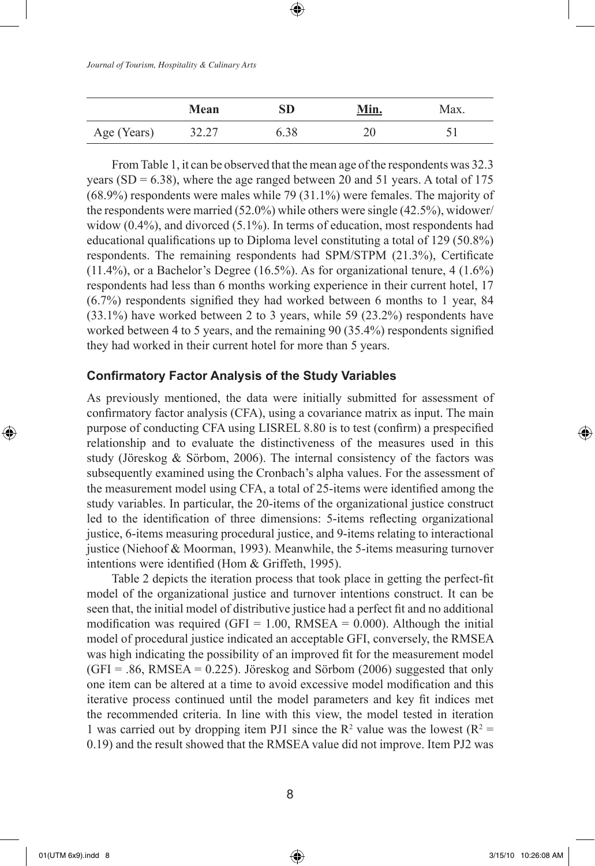|             | Mean  | SD   | Min. | Max. |
|-------------|-------|------|------|------|
| Age (Years) | 32.27 | 5.38 | າເ   |      |

From Table 1, it can be observed that the mean age of the respondents was 32.3 years (SD =  $6.38$ ), where the age ranged between 20 and 51 years. A total of 175 (68.9%) respondents were males while 79 (31.1%) were females. The majority of the respondents were married (52.0%) while others were single (42.5%), widower/ widow (0.4%), and divorced (5.1%). In terms of education, most respondents had educational qualifications up to Diploma level constituting a total of 129 (50.8%) respondents. The remaining respondents had SPM/STPM (21.3%), Certificate  $(11.4\%)$ , or a Bachelor's Degree  $(16.5\%)$ . As for organizational tenure,  $4(1.6\%)$ respondents had less than 6 months working experience in their current hotel, 17 (6.7%) respondents signified they had worked between 6 months to 1 year, 84 (33.1%) have worked between 2 to 3 years, while 59 (23.2%) respondents have worked between 4 to 5 years, and the remaining 90 (35.4%) respondents signified they had worked in their current hotel for more than 5 years.

## **Confirmatory Factor Analysis of the Study Variables**

As previously mentioned, the data were initially submitted for assessment of confirmatory factor analysis (CFA), using a covariance matrix as input. The main purpose of conducting CFA using LISREL 8.80 is to test (confirm) a prespecified relationship and to evaluate the distinctiveness of the measures used in this study (Jöreskog  $\&$  Sörbom, 2006). The internal consistency of the factors was subsequently examined using the Cronbach's alpha values. For the assessment of the measurement model using CFA, a total of 25-items were identified among the study variables. In particular, the 20-items of the organizational justice construct led to the identification of three dimensions: 5-items reflecting organizational justice, 6-items measuring procedural justice, and 9-items relating to interactional justice (Niehoof & Moorman, 1993). Meanwhile, the 5-items measuring turnover intentions were identified (Hom & Griffeth, 1995).

Table 2 depicts the iteration process that took place in getting the perfect-fit model of the organizational justice and turnover intentions construct. It can be seen that, the initial model of distributive justice had a perfect fit and no additional modification was required (GFI =  $1.00$ , RMSEA =  $0.000$ ). Although the initial model of procedural justice indicated an acceptable GFI, conversely, the RMSEA was high indicating the possibility of an improved fit for the measurement model  $(GFI = .86, RMSEA = 0.225)$ . Jöreskog and Sörbom (2006) suggested that only one item can be altered at a time to avoid excessive model modification and this iterative process continued until the model parameters and key fit indices met the recommended criteria. In line with this view, the model tested in iteration 1 was carried out by dropping item PJ1 since the  $R^2$  value was the lowest  $(R^2 =$ 0.19) and the result showed that the RMSEA value did not improve. Item PJ2 was

8

⊕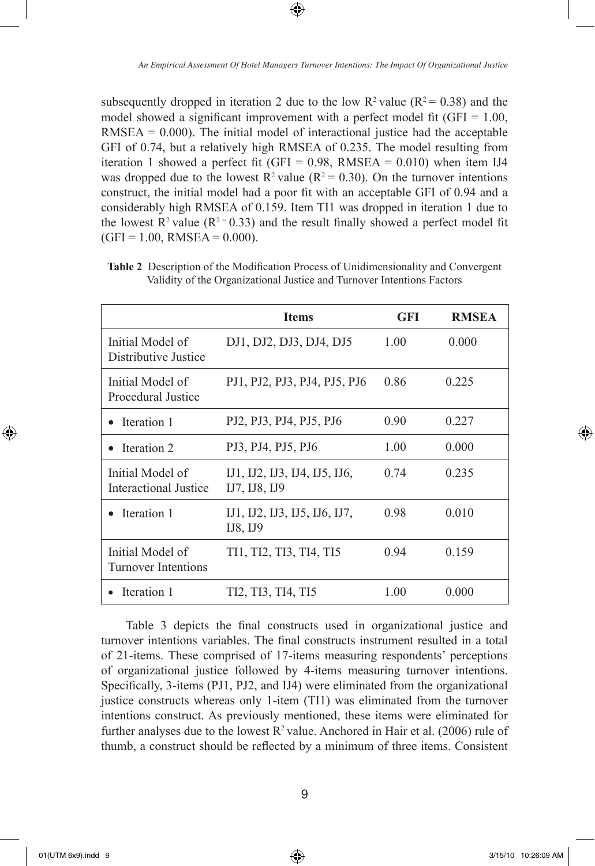⊕

subsequently dropped in iteration 2 due to the low  $R^2$  value ( $R^2 = 0.38$ ) and the model showed a significant improvement with a perfect model fit ( $GFI = 1.00$ ,  $RMSEA = 0.000$ . The initial model of interactional justice had the acceptable GFI of 0.74, but a relatively high RMSEA of 0.235. The model resulting from iteration 1 showed a perfect fit (GFI =  $0.98$ , RMSEA =  $0.010$ ) when item IJ4 was dropped due to the lowest  $R^2$  value ( $R^2 = 0.30$ ). On the turnover intentions construct, the initial model had a poor fit with an acceptable GFI of 0.94 and a considerably high RMSEA of 0.159. Item TI1 was dropped in iteration 1 due to the lowest  $R^2$  value ( $R^2$ = 0.33) and the result finally showed a perfect model fit  $(GFI = 1.00, RMSEA = 0.000).$ 

|                                                | <b>Items</b>                                   | <b>GFI</b> | <b>RMSEA</b> |
|------------------------------------------------|------------------------------------------------|------------|--------------|
| Initial Model of<br>Distributive Justice       | DJ1, DJ2, DJ3, DJ4, DJ5                        | 1.00       | 0.000        |
| Initial Model of<br>Procedural Justice         | PJ1, PJ2, PJ3, PJ4, PJ5, PJ6                   | 0.86       | 0.225        |
| Iteration 1                                    | PJ2, PJ3, PJ4, PJ5, PJ6                        | 0.90       | 0.227        |
| Iteration 2                                    | PJ3, PJ4, PJ5, PJ6                             | 1.00       | 0.000        |
| Initial Model of<br>Interactional Justice      | IJ1, IJ2, IJ3, IJ4, IJ5, IJ6,<br>IJ7, IJ8, IJ9 | 0.74       | 0.235        |
| • Iteration 1                                  | IJ1, IJ2, IJ3, IJ5, IJ6, IJ7,<br>IJS, IJ9      | 0.98       | 0.010        |
| Initial Model of<br><b>Turnover Intentions</b> | TI1, TI2, TI3, TI4, TI5                        | 0.94       | 0.159        |
| Iteration 1                                    | TI2, TI3, TI4, TI5                             | 1.00       | 0.000        |

**Table 2** Description of the Modification Process of Unidimensionality and Convergent Validity of the Organizational Justice and Turnover Intentions Factors

Table 3 depicts the final constructs used in organizational justice and turnover intentions variables. The final constructs instrument resulted in a total of 21-items. These comprised of 17-items measuring respondents' perceptions of organizational justice followed by 4-items measuring turnover intentions. Specifically, 3-items (PJ1, PJ2, and IJ4) were eliminated from the organizational justice constructs whereas only 1-item (TI1) was eliminated from the turnover intentions construct. As previously mentioned, these items were eliminated for further analyses due to the lowest  $R^2$  value. Anchored in Hair et al. (2006) rule of thumb, a construct should be reflected by a minimum of three items. Consistent

⊕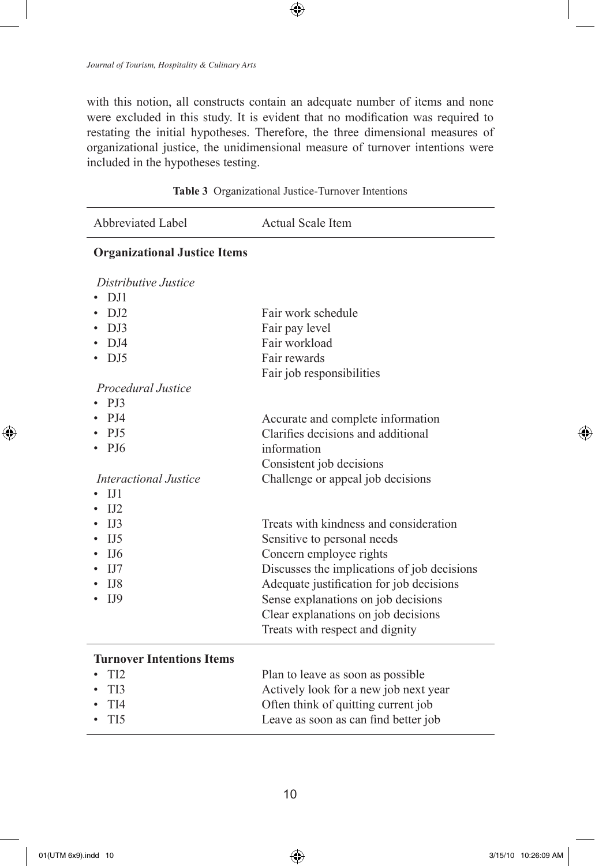with this notion, all constructs contain an adequate number of items and none were excluded in this study. It is evident that no modification was required to restating the initial hypotheses. Therefore, the three dimensional measures of organizational justice, the unidimensional measure of turnover intentions were included in the hypotheses testing.

 $\bigoplus$ 

| Abbreviated Label                   | Actual Scale Item                           |
|-------------------------------------|---------------------------------------------|
| <b>Organizational Justice Items</b> |                                             |
| Distributive Justice                |                                             |
| D <sub>J1</sub>                     |                                             |
| D <sub>J2</sub>                     | Fair work schedule                          |
| D <sub>J3</sub>                     | Fair pay level                              |
| $D_{J}$                             | Fair workload                               |
| DJ5                                 | Fair rewards                                |
|                                     | Fair job responsibilities                   |
| Procedural Justice                  |                                             |
| <b>PJ3</b>                          |                                             |
| PJ4                                 | Accurate and complete information           |
| <b>PJ5</b>                          | Clarifies decisions and additional          |
| PJ6                                 | information                                 |
|                                     | Consistent job decisions                    |
| Interactional Justice               | Challenge or appeal job decisions           |
| IJI                                 |                                             |
| I <sub>12</sub>                     |                                             |
| IJ3                                 | Treats with kindness and consideration      |
| I.J.5                               | Sensitive to personal needs                 |
| IJ6                                 | Concern employee rights                     |
| IJ7                                 | Discusses the implications of job decisions |
| $_{1J8}$                            | Adequate justification for job decisions    |
| I <sub>J</sub> 9                    | Sense explanations on job decisions         |
|                                     | Clear explanations on job decisions         |
|                                     | Treats with respect and dignity             |
| <b>Turnover Intentions Items</b>    |                                             |
| TI2                                 | Plan to leave as soon as possible           |
| TI3                                 | Actively look for a new job next year       |
| TI <sub>4</sub>                     | Often think of quitting current job         |
| TI <sub>5</sub>                     | Leave as soon as can find better job        |
|                                     |                                             |

**Table 3** Organizational Justice-Turnover Intentions

⊕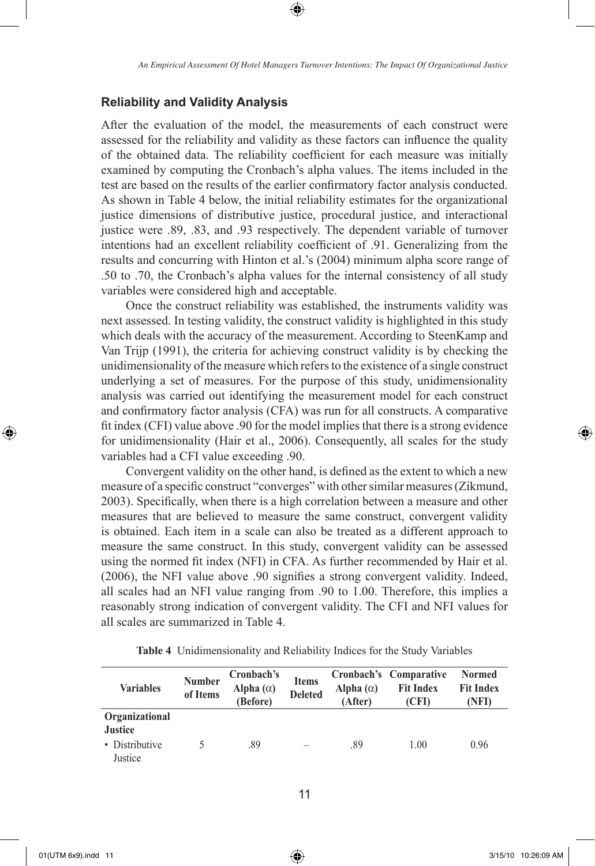## **Reliability and Validity Analysis**

After the evaluation of the model, the measurements of each construct were assessed for the reliability and validity as these factors can influence the quality of the obtained data. The reliability coefficient for each measure was initially examined by computing the Cronbach's alpha values. The items included in the test are based on the results of the earlier confirmatory factor analysis conducted. As shown in Table 4 below, the initial reliability estimates for the organizational justice dimensions of distributive justice, procedural justice, and interactional justice were .89, .83, and .93 respectively. The dependent variable of turnover intentions had an excellent reliability coefficient of .91. Generalizing from the results and concurring with Hinton et al.'s (2004) minimum alpha score range of .50 to .70, the Cronbach's alpha values for the internal consistency of all study variables were considered high and acceptable.

Once the construct reliability was established, the instruments validity was next assessed. In testing validity, the construct validity is highlighted in this study which deals with the accuracy of the measurement. According to SteenKamp and Van Trijp (1991), the criteria for achieving construct validity is by checking the unidimensionality of the measure which refers to the existence of a single construct underlying a set of measures. For the purpose of this study, unidimensionality analysis was carried out identifying the measurement model for each construct and confirmatory factor analysis (CFA) was run for all constructs. A comparative fit index (CFI) value above .90 for the model implies that there is a strong evidence for unidimensionality (Hair et al., 2006). Consequently, all scales for the study variables had a CFI value exceeding .90.

Convergent validity on the other hand, is defined as the extent to which a new measure of a specific construct "converges" with other similar measures (Zikmund, 2003). Specifically, when there is a high correlation between a measure and other measures that are believed to measure the same construct, convergent validity is obtained. Each item in a scale can also be treated as a different approach to measure the same construct. In this study, convergent validity can be assessed using the normed fit index (NFI) in CFA. As further recommended by Hair et al. (2006), the NFI value above .90 signifies a strong convergent validity. Indeed, all scales had an NFI value ranging from .90 to 1.00. Therefore, this implies a reasonably strong indication of convergent validity. The CFI and NFI values for all scales are summarized in Table 4.

| <b>Variables</b>                                              | <b>Number</b><br>of Items | Cronbach's<br>Alpha $(\alpha)$<br>(Before) | <b>Items</b><br><b>Deleted</b> | Alpha $(\alpha)$<br>(After) | Cronbach's Comparative<br><b>Fit Index</b><br>(CFI) | <b>Normed</b><br><b>Fit Index</b><br>(NFI) |
|---------------------------------------------------------------|---------------------------|--------------------------------------------|--------------------------------|-----------------------------|-----------------------------------------------------|--------------------------------------------|
| Organizational<br><b>Justice</b><br>• Distributive<br>Justice |                           | .89                                        | $\overline{\phantom{a}}$       | .89                         | 1.00                                                | 0.96                                       |

**Table 4** Unidimensionality and Reliability Indices for the Study Variables

⊕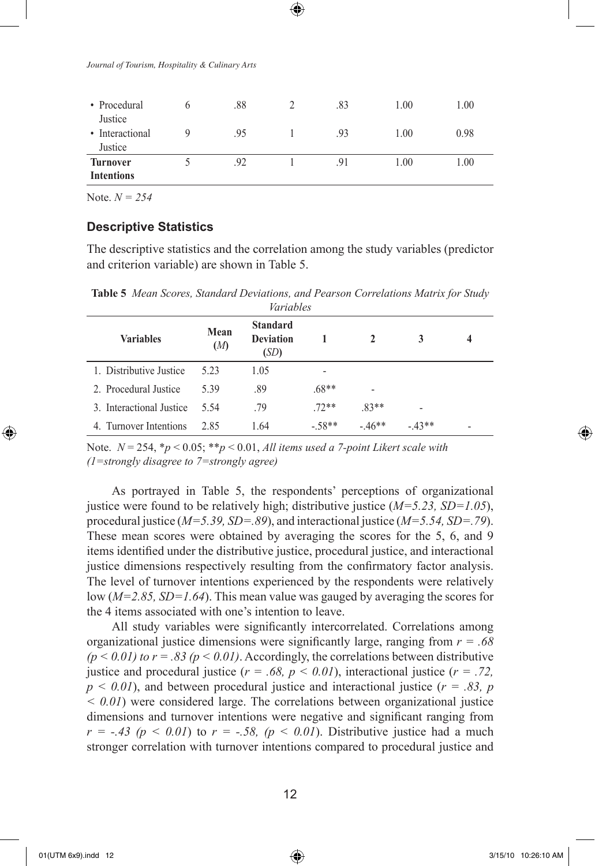| • Procedural<br>Justice       | h | .88 | .83 | 1.00 | 1.00 |
|-------------------------------|---|-----|-----|------|------|
| • Interactional<br>Justice    |   | .95 | .93 | 1.00 | 0.98 |
| Turnover<br><b>Intentions</b> |   | .92 | .91 | 1.00 | 1.00 |

Note. *N = 254*

### **Descriptive Statistics**

The descriptive statistics and the correlation among the study variables (predictor and criterion variable) are shown in Table 5.

**Table 5** *Mean Scores, Standard Deviations, and Pearson Correlations Matrix for Study* 

| Variables                |             |                                             |         |                |         |   |  |
|--------------------------|-------------|---------------------------------------------|---------|----------------|---------|---|--|
| <b>Variables</b>         | Mean<br>(M) | <b>Standard</b><br><b>Deviation</b><br>(SD) |         | $\mathbf{2}$   | 3       | 4 |  |
| 1. Distributive Justice  | 523         | 1.05                                        | -       |                |         |   |  |
| 2. Procedural Justice    | 5.39        | .89                                         | $.68**$ | $\overline{a}$ |         |   |  |
| 3. Interactional Justice | 5.54        | .79                                         | $72**$  | $.83**$        |         |   |  |
| 4. Turnover Intentions   | 2.85        | 1.64                                        | $-58**$ | $-46**$        | $-43**$ | - |  |

Note. *N* = 254, \**p* < 0.05; \*\**p* < 0.01, *All items used a 7-point Likert scale with (1=strongly disagree to 7=strongly agree)*

As portrayed in Table 5, the respondents' perceptions of organizational justice were found to be relatively high; distributive justice (*M=5.23, SD=1.05*), procedural justice (*M=5.39, SD=.89*), and interactional justice (*M=5.54, SD=.79*). These mean scores were obtained by averaging the scores for the 5, 6, and 9 items identified under the distributive justice, procedural justice, and interactional justice dimensions respectively resulting from the confirmatory factor analysis. The level of turnover intentions experienced by the respondents were relatively low (*M=2.85, SD=1.64*). This mean value was gauged by averaging the scores for the 4 items associated with one's intention to leave.

All study variables were significantly intercorrelated. Correlations among organizational justice dimensions were significantly large, ranging from *r = .68*   $(p < 0.01)$  *to r = .83 (p < 0.01)*. Accordingly, the correlations between distributive justice and procedural justice  $(r = .68, p < 0.01)$ , interactional justice  $(r = .72,$  $p < 0.01$ ), and between procedural justice and interactional justice ( $r = .83$ ,  $p$ *< 0.01*) were considered large. The correlations between organizational justice dimensions and turnover intentions were negative and significant ranging from  $r = -.43$  ( $p < 0.01$ ) to  $r = -.58$ , ( $p < 0.01$ ). Distributive justice had a much stronger correlation with turnover intentions compared to procedural justice and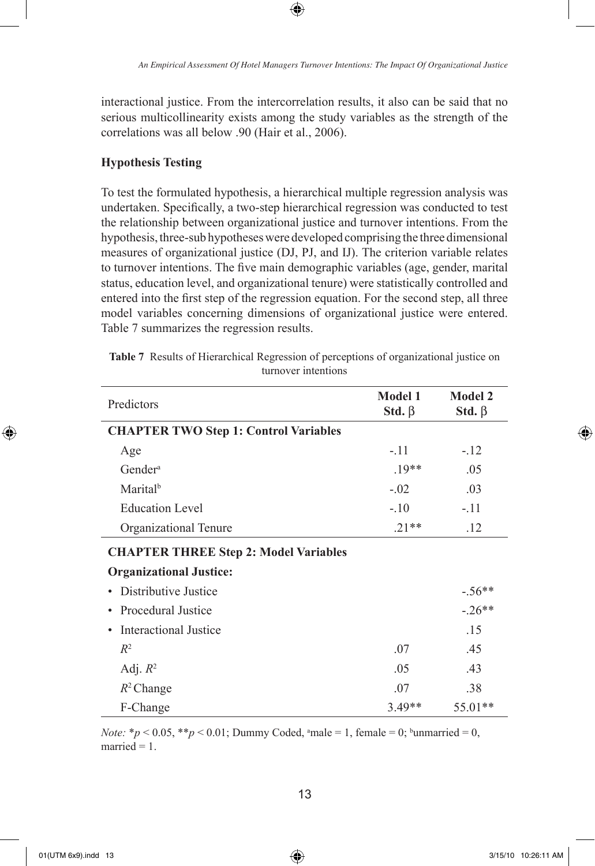interactional justice. From the intercorrelation results, it also can be said that no serious multicollinearity exists among the study variables as the strength of the correlations was all below .90 (Hair et al., 2006).

⊕

### **Hypothesis Testing**

To test the formulated hypothesis, a hierarchical multiple regression analysis was undertaken. Specifically, a two-step hierarchical regression was conducted to test the relationship between organizational justice and turnover intentions. From the hypothesis, three-sub hypotheses were developed comprising the three dimensional measures of organizational justice (DJ, PJ, and IJ). The criterion variable relates to turnover intentions. The five main demographic variables (age, gender, marital status, education level, and organizational tenure) were statistically controlled and entered into the first step of the regression equation. For the second step, all three model variables concerning dimensions of organizational justice were entered. Table 7 summarizes the regression results.

| Predictors                                   | <b>Model 1</b><br>Std. $\beta$ | <b>Model 2</b><br>Std. $\beta$ |
|----------------------------------------------|--------------------------------|--------------------------------|
| <b>CHAPTER TWO Step 1: Control Variables</b> |                                |                                |
| Age                                          | $-.11$                         | $-.12$                         |
| Gender <sup>a</sup>                          | $.19**$                        | .05                            |
| Marital <sup>b</sup>                         | $-.02$                         | .03                            |
| <b>Education Level</b>                       | $-.10$                         | $-.11$                         |
| Organizational Tenure                        | $.21**$                        | .12                            |
| <b>CHAPTER THREE Step 2: Model Variables</b> |                                |                                |
| <b>Organizational Justice:</b>               |                                |                                |
| Distributive Justice                         |                                | $-.56**$                       |
| Procedural Justice                           |                                | $-26**$                        |
| Interactional Justice                        |                                | .15                            |
| $R^2$                                        | .07                            | .45                            |
| Adj. $R^2$                                   | .05                            | .43                            |
| $R^2$ Change                                 | .07                            | .38                            |
| F-Change                                     | $3.49**$                       | 55.01**                        |

**Table 7** Results of Hierarchical Regression of perceptions of organizational justice on turnover intentions

*Note:*  $* p < 0.05$ ,  $* p < 0.01$ ; Dummy Coded, amale = 1, female = 0; bunmarried = 0, married  $= 1$ .

⊕

↔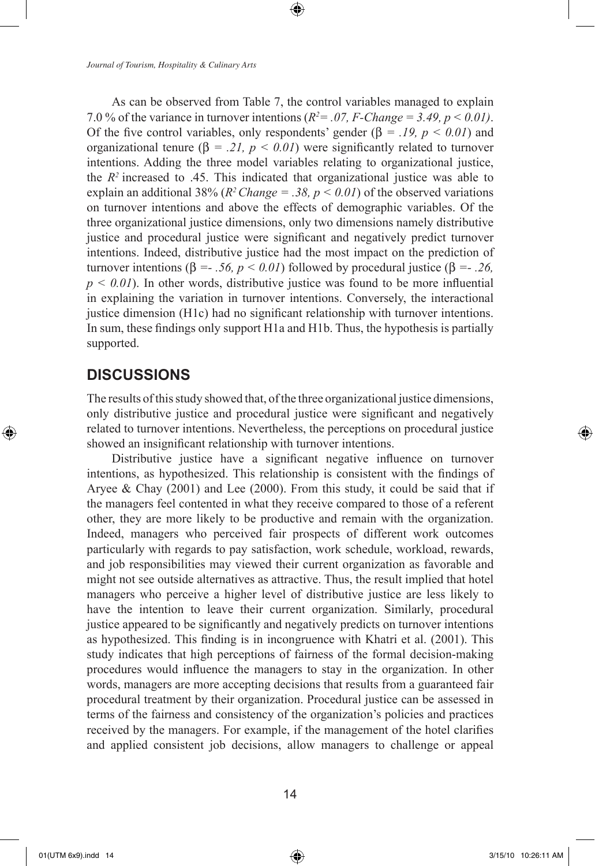As can be observed from Table 7, the control variables managed to explain 7.0 % of the variance in turnover intentions  $(R^2 = .07, F\text{-}Change = 3.49, p \le 0.01)$ . Of the five control variables, only respondents' gender  $(\beta = .19, p < 0.01)$  and organizational tenure ( $\beta = .21$ ,  $p < 0.01$ ) were significantly related to turnover intentions. Adding the three model variables relating to organizational justice, the  $R<sup>2</sup>$  increased to .45. This indicated that organizational justice was able to explain an additional 38% ( $R^2$ *Change = .38, p < 0.01*) of the observed variations on turnover intentions and above the effects of demographic variables. Of the three organizational justice dimensions, only two dimensions namely distributive justice and procedural justice were significant and negatively predict turnover intentions. Indeed, distributive justice had the most impact on the prediction of turnover intentions (β *=- .56, p < 0.01*) followed by procedural justice (β *=- .26,*   $p \le 0.01$ ). In other words, distributive justice was found to be more influential in explaining the variation in turnover intentions. Conversely, the interactional justice dimension (H1c) had no significant relationship with turnover intentions. In sum, these findings only support H1a and H1b. Thus, the hypothesis is partially supported.

## **DISCUSSIONS**

⊕

The results of this study showed that, of the three organizational justice dimensions, only distributive justice and procedural justice were significant and negatively related to turnover intentions. Nevertheless, the perceptions on procedural justice showed an insignificant relationship with turnover intentions.

Distributive justice have a significant negative influence on turnover intentions, as hypothesized. This relationship is consistent with the findings of Aryee & Chay (2001) and Lee (2000). From this study, it could be said that if the managers feel contented in what they receive compared to those of a referent other, they are more likely to be productive and remain with the organization. Indeed, managers who perceived fair prospects of different work outcomes particularly with regards to pay satisfaction, work schedule, workload, rewards, and job responsibilities may viewed their current organization as favorable and might not see outside alternatives as attractive. Thus, the result implied that hotel managers who perceive a higher level of distributive justice are less likely to have the intention to leave their current organization. Similarly, procedural justice appeared to be significantly and negatively predicts on turnover intentions as hypothesized. This finding is in incongruence with Khatri et al. (2001). This study indicates that high perceptions of fairness of the formal decision-making procedures would influence the managers to stay in the organization. In other words, managers are more accepting decisions that results from a guaranteed fair procedural treatment by their organization. Procedural justice can be assessed in terms of the fairness and consistency of the organization's policies and practices received by the managers. For example, if the management of the hotel clarifies and applied consistent job decisions, allow managers to challenge or appeal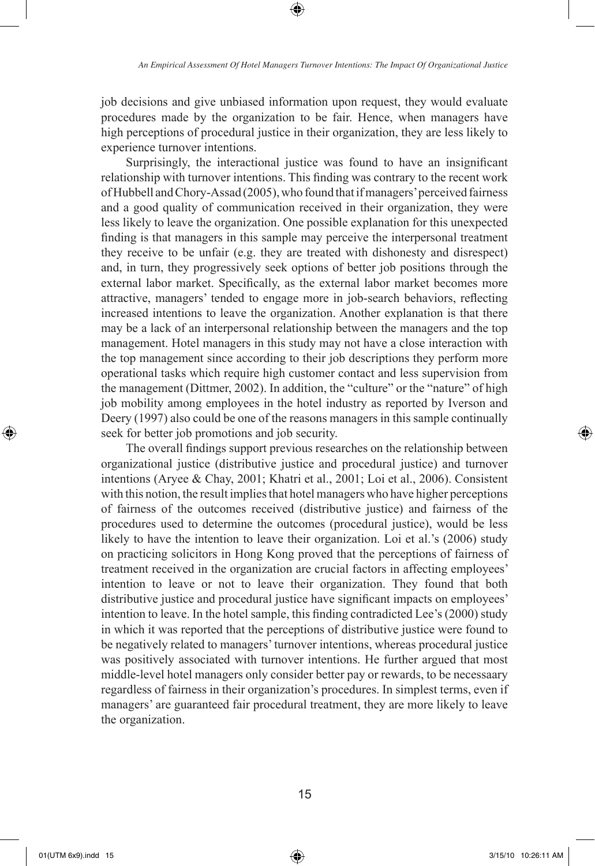job decisions and give unbiased information upon request, they would evaluate procedures made by the organization to be fair. Hence, when managers have high perceptions of procedural justice in their organization, they are less likely to experience turnover intentions.

Surprisingly, the interactional justice was found to have an insignificant relationship with turnover intentions. This finding was contrary to the recent work of Hubbell and Chory-Assad (2005), who found that if managers' perceived fairness and a good quality of communication received in their organization, they were less likely to leave the organization. One possible explanation for this unexpected finding is that managers in this sample may perceive the interpersonal treatment they receive to be unfair (e.g. they are treated with dishonesty and disrespect) and, in turn, they progressively seek options of better job positions through the external labor market. Specifically, as the external labor market becomes more attractive, managers' tended to engage more in job-search behaviors, reflecting increased intentions to leave the organization. Another explanation is that there may be a lack of an interpersonal relationship between the managers and the top management. Hotel managers in this study may not have a close interaction with the top management since according to their job descriptions they perform more operational tasks which require high customer contact and less supervision from the management (Dittmer, 2002). In addition, the "culture" or the "nature" of high job mobility among employees in the hotel industry as reported by Iverson and Deery (1997) also could be one of the reasons managers in this sample continually seek for better job promotions and job security.

The overall findings support previous researches on the relationship between organizational justice (distributive justice and procedural justice) and turnover intentions (Aryee & Chay, 2001; Khatri et al., 2001; Loi et al., 2006). Consistent with this notion, the result implies that hotel managers who have higher perceptions of fairness of the outcomes received (distributive justice) and fairness of the procedures used to determine the outcomes (procedural justice), would be less likely to have the intention to leave their organization. Loi et al.'s (2006) study on practicing solicitors in Hong Kong proved that the perceptions of fairness of treatment received in the organization are crucial factors in affecting employees' intention to leave or not to leave their organization. They found that both distributive justice and procedural justice have significant impacts on employees' intention to leave. In the hotel sample, this finding contradicted Lee's (2000) study in which it was reported that the perceptions of distributive justice were found to be negatively related to managers' turnover intentions, whereas procedural justice was positively associated with turnover intentions. He further argued that most middle-level hotel managers only consider better pay or rewards, to be necessaary regardless of fairness in their organization's procedures. In simplest terms, even if managers' are guaranteed fair procedural treatment, they are more likely to leave the organization.

↔

⊕

15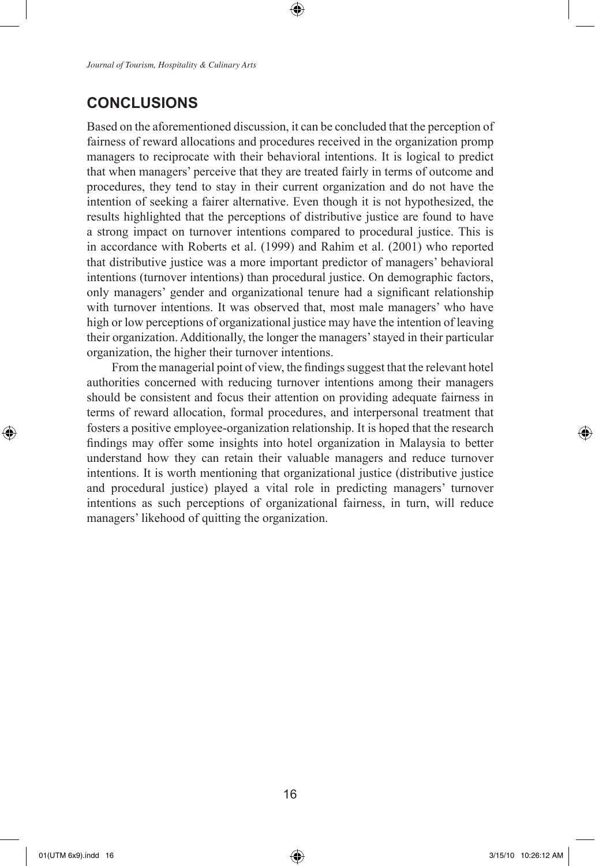# **CONCLUSIONS**

Based on the aforementioned discussion, it can be concluded that the perception of fairness of reward allocations and procedures received in the organization promp managers to reciprocate with their behavioral intentions. It is logical to predict that when managers' perceive that they are treated fairly in terms of outcome and procedures, they tend to stay in their current organization and do not have the intention of seeking a fairer alternative. Even though it is not hypothesized, the results highlighted that the perceptions of distributive justice are found to have a strong impact on turnover intentions compared to procedural justice. This is in accordance with Roberts et al. (1999) and Rahim et al. (2001) who reported that distributive justice was a more important predictor of managers' behavioral intentions (turnover intentions) than procedural justice. On demographic factors, only managers' gender and organizational tenure had a significant relationship with turnover intentions. It was observed that, most male managers' who have high or low perceptions of organizational justice may have the intention of leaving their organization. Additionally, the longer the managers' stayed in their particular organization, the higher their turnover intentions.

⊕

From the managerial point of view, the findings suggest that the relevant hotel authorities concerned with reducing turnover intentions among their managers should be consistent and focus their attention on providing adequate fairness in terms of reward allocation, formal procedures, and interpersonal treatment that fosters a positive employee-organization relationship. It is hoped that the research findings may offer some insights into hotel organization in Malaysia to better understand how they can retain their valuable managers and reduce turnover intentions. It is worth mentioning that organizational justice (distributive justice and procedural justice) played a vital role in predicting managers' turnover intentions as such perceptions of organizational fairness, in turn, will reduce managers' likehood of quitting the organization.

⊕

01(UTM 6x9).indd 16 3/15/10 10:26:12 AM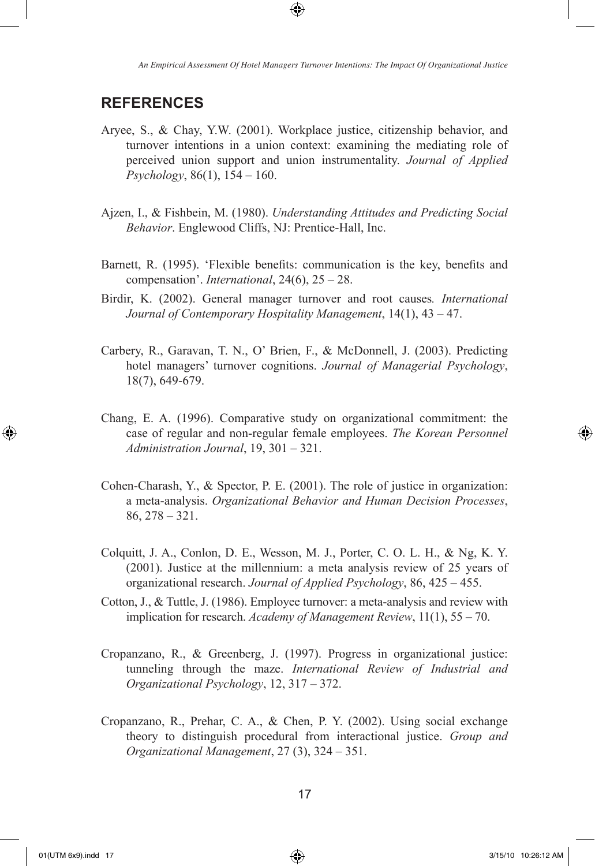*An Empirical Assessment Of Hotel Managers Turnover Intentions: The Impact Of Organizational Justice*

# **REFERENCES**

- Aryee, S., & Chay, Y.W. (2001). Workplace justice, citizenship behavior, and turnover intentions in a union context: examining the mediating role of perceived union support and union instrumentality. *Journal of Applied Psychology*, 86(1), 154 – 160.
- Ajzen, I., & Fishbein, M. (1980). *Understanding Attitudes and Predicting Social Behavior*. Englewood Cliffs, NJ: Prentice-Hall, Inc.
- Barnett, R. (1995). 'Flexible benefits: communication is the key, benefits and compensation'. *International*, 24(6), 25 – 28.
- Birdir, K. (2002). General manager turnover and root causes*. International Journal of Contemporary Hospitality Management*, 14(1), 43 – 47.
- Carbery, R., Garavan, T. N., O' Brien, F., & McDonnell, J. (2003). Predicting hotel managers' turnover cognitions. *Journal of Managerial Psychology*, 18(7), 649-679.
- Chang, E. A. (1996). Comparative study on organizational commitment: the case of regular and non-regular female employees. *The Korean Personnel Administration Journal*, 19, 301 – 321.
- Cohen-Charash, Y., & Spector, P. E. (2001). The role of justice in organization: a meta-analysis. *Organizational Behavior and Human Decision Processes*, 86, 278 – 321.
- Colquitt, J. A., Conlon, D. E., Wesson, M. J., Porter, C. O. L. H., & Ng, K. Y. (2001). Justice at the millennium: a meta analysis review of 25 years of organizational research. *Journal of Applied Psychology*, 86, 425 – 455.
- Cotton, J., & Tuttle, J. (1986). Employee turnover: a meta-analysis and review with implication for research. *Academy of Management Review*, 11(1), 55 – 70.
- Cropanzano, R., & Greenberg, J. (1997). Progress in organizational justice: tunneling through the maze. *International Review of Industrial and Organizational Psychology*, 12, 317 – 372.
- Cropanzano, R., Prehar, C. A., & Chen, P. Y. (2002). Using social exchange theory to distinguish procedural from interactional justice. *Group and Organizational Management*, 27 (3), 324 – 351.

 $\bigoplus$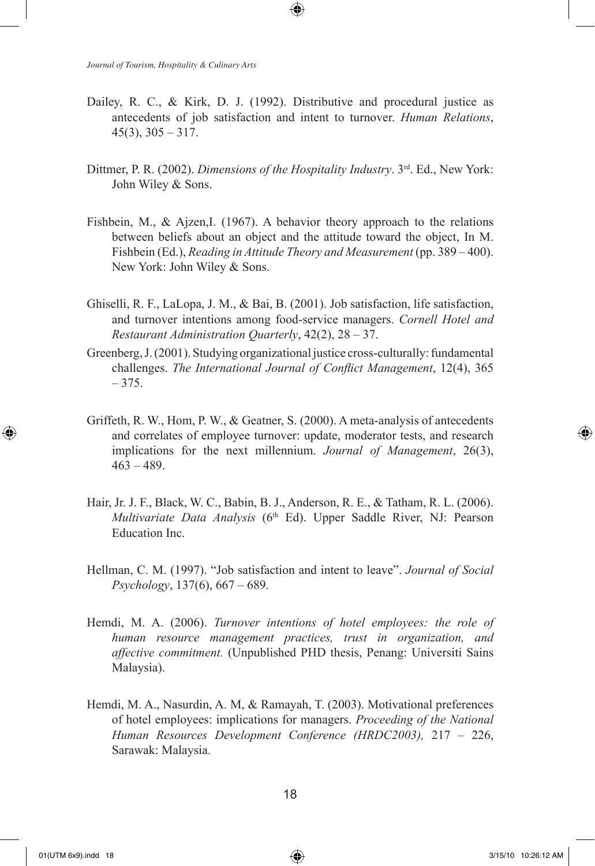Dailey, R. C., & Kirk, D. J. (1992). Distributive and procedural justice as antecedents of job satisfaction and intent to turnover. *Human Relations*,  $45(3)$ ,  $305 - 317$ .

↔

- Dittmer, P. R. (2002). *Dimensions of the Hospitality Industry*. 3rd. Ed., New York: John Wiley & Sons.
- Fishbein, M., & Ajzen,I. (1967). A behavior theory approach to the relations between beliefs about an object and the attitude toward the object, In M. Fishbein (Ed.), *Reading in Attitude Theory and Measurement* (pp. 389 – 400). New York: John Wiley & Sons.
- Ghiselli, R. F., LaLopa, J. M., & Bai, B. (2001). Job satisfaction, life satisfaction, and turnover intentions among food-service managers. *Cornell Hotel and Restaurant Administration Quarterly*, 42(2), 28 – 37.
- Greenberg, J. (2001). Studying organizational justice cross-culturally: fundamental challenges. *The International Journal of Conflict Management*, 12(4), 365 – 375.
- Griffeth, R. W., Hom, P. W., & Geatner, S. (2000). A meta-analysis of antecedents and correlates of employee turnover: update, moderator tests, and research implications for the next millennium. *Journal of Management*, 26(3),  $463 - 489$ .
- Hair, Jr. J. F., Black, W. C., Babin, B. J., Anderson, R. E., & Tatham, R. L. (2006). *Multivariate Data Analysis* (6<sup>th</sup> Ed). Upper Saddle River, NJ: Pearson Education Inc.
- Hellman, C. M. (1997). "Job satisfaction and intent to leave". *Journal of Social Psychology*, 137(6), 667 – 689.
- Hemdi, M. A. (2006). *Turnover intentions of hotel employees: the role of human resource management practices, trust in organization, and affective commitment.* (Unpublished PHD thesis, Penang: Universiti Sains Malaysia).
- Hemdi, M. A., Nasurdin, A. M, & Ramayah, T. (2003). Motivational preferences of hotel employees: implications for managers. *Proceeding of the National Human Resources Development Conference (HRDC2003),* 217 – 226, Sarawak: Malaysia.

⊕

↔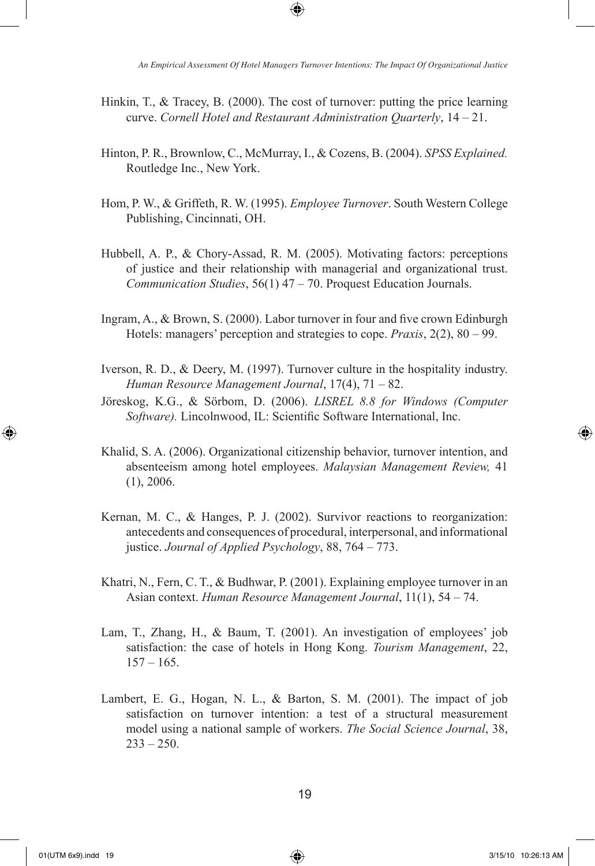Hinkin, T., & Tracey, B. (2000). The cost of turnover: putting the price learning curve. *Cornell Hotel and Restaurant Administration Quarterly*, 14 – 21.

↔

- Hinton, P. R., Brownlow, C., McMurray, I., & Cozens, B. (2004). *SPSS Explained.*  Routledge Inc., New York.
- Hom, P. W., & Griffeth, R. W. (1995). *Employee Turnover*. South Western College Publishing, Cincinnati, OH.
- Hubbell, A. P., & Chory-Assad, R. M. (2005). Motivating factors: perceptions of justice and their relationship with managerial and organizational trust. *Communication Studies*, 56(1) 47 – 70. Proquest Education Journals.
- Ingram, A., & Brown, S. (2000). Labor turnover in four and five crown Edinburgh Hotels: managers' perception and strategies to cope. *Praxis*, 2(2), 80 – 99.
- Iverson, R. D., & Deery, M. (1997). Turnover culture in the hospitality industry. *Human Resource Management Journal*, 17(4), 71 – 82.
- Jöreskog, K.G., & Sörbom, D. (2006). *LISREL 8.8 for Windows (Computer Software).* Lincolnwood, IL: Scientific Software International, Inc.
- Khalid, S. A. (2006). Organizational citizenship behavior, turnover intention, and absenteeism among hotel employees. *Malaysian Management Review,* 41 (1), 2006.
- Kernan, M. C., & Hanges, P. J. (2002). Survivor reactions to reorganization: antecedents and consequences of procedural, interpersonal, and informational justice. *Journal of Applied Psychology*, 88, 764 – 773.
- Khatri, N., Fern, C. T., & Budhwar, P. (2001). Explaining employee turnover in an Asian context. *Human Resource Management Journal*, 11(1), 54 – 74.
- Lam, T., Zhang, H., & Baum, T. (2001). An investigation of employees' job satisfaction: the case of hotels in Hong Kong. *Tourism Management*, 22,  $157 - 165$ .
- Lambert, E. G., Hogan, N. L., & Barton, S. M. (2001). The impact of job satisfaction on turnover intention: a test of a structural measurement model using a national sample of workers. *The Social Science Journal*, 38,  $233 - 250$ .

⊕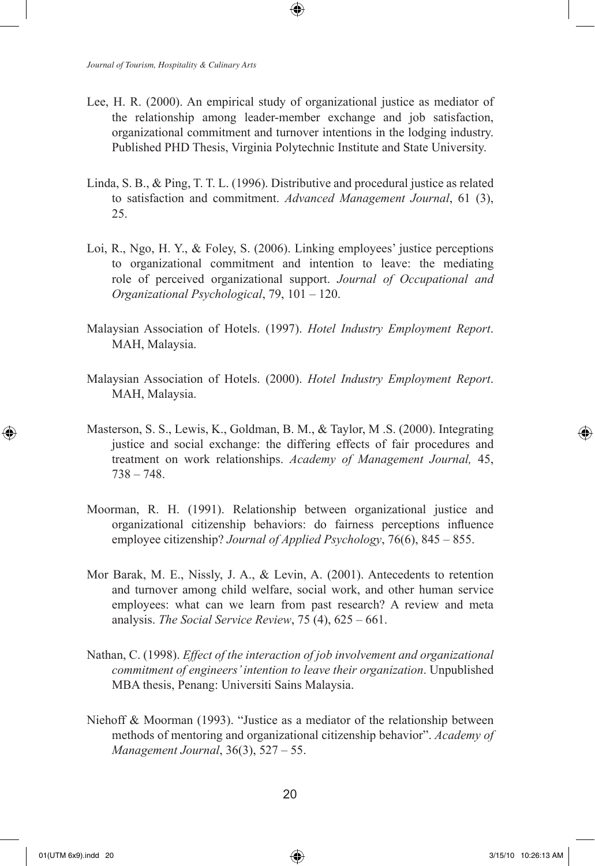Lee, H. R. (2000). An empirical study of organizational justice as mediator of the relationship among leader-member exchange and job satisfaction, organizational commitment and turnover intentions in the lodging industry. Published PHD Thesis, Virginia Polytechnic Institute and State University.

⊕

- Linda, S. B., & Ping, T. T. L. (1996). Distributive and procedural justice as related to satisfaction and commitment. *Advanced Management Journal*, 61 (3), 25.
- Loi, R., Ngo, H. Y., & Foley, S. (2006). Linking employees' justice perceptions to organizational commitment and intention to leave: the mediating role of perceived organizational support. *Journal of Occupational and Organizational Psychological*, 79, 101 – 120.
- Malaysian Association of Hotels. (1997). *Hotel Industry Employment Report*. MAH, Malaysia.
- Malaysian Association of Hotels. (2000). *Hotel Industry Employment Report*. MAH, Malaysia.
- Masterson, S. S., Lewis, K., Goldman, B. M., & Taylor, M .S. (2000). Integrating justice and social exchange: the differing effects of fair procedures and treatment on work relationships. *Academy of Management Journal,* 45, 738 – 748.
- Moorman, R. H. (1991). Relationship between organizational justice and organizational citizenship behaviors: do fairness perceptions influence employee citizenship? *Journal of Applied Psychology*, 76(6), 845 – 855.
- Mor Barak, M. E., Nissly, J. A., & Levin, A. (2001). Antecedents to retention and turnover among child welfare, social work, and other human service employees: what can we learn from past research? A review and meta analysis. *The Social Service Review*, 75 (4), 625 – 661.
- Nathan, C. (1998). *Effect of the interaction of job involvement and organizational commitment of engineers' intention to leave their organization*. Unpublished MBA thesis, Penang: Universiti Sains Malaysia.
- Niehoff & Moorman (1993). "Justice as a mediator of the relationship between methods of mentoring and organizational citizenship behavior". *Academy of Management Journal*, 36(3), 527 – 55.

⊕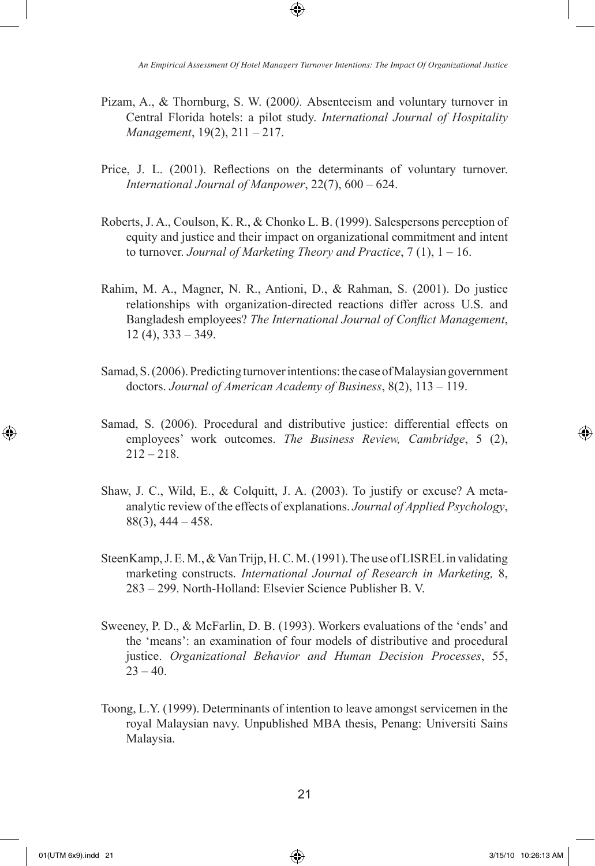*An Empirical Assessment Of Hotel Managers Turnover Intentions: The Impact Of Organizational Justice*

Pizam, A., & Thornburg, S. W. (2000*).* Absenteeism and voluntary turnover in Central Florida hotels: a pilot study. *International Journal of Hospitality Management*, 19(2), 211 – 217.

⊕

- Price, J. L. (2001). Reflections on the determinants of voluntary turnover. *International Journal of Manpower*, 22(7), 600 – 624.
- Roberts, J. A., Coulson, K. R., & Chonko L. B. (1999). Salespersons perception of equity and justice and their impact on organizational commitment and intent to turnover. *Journal of Marketing Theory and Practice*, 7 (1), 1 – 16.
- Rahim, M. A., Magner, N. R., Antioni, D., & Rahman, S. (2001). Do justice relationships with organization-directed reactions differ across U.S. and Bangladesh employees? *The International Journal of Conflict Management*, 12 (4), 333 – 349.
- Samad, S. (2006). Predicting turnover intentions: the case of Malaysian government doctors. *Journal of American Academy of Business*, 8(2), 113 – 119.
- Samad, S. (2006). Procedural and distributive justice: differential effects on employees' work outcomes. *The Business Review, Cambridge*, 5 (2),  $212 - 218$ .
- Shaw, J. C., Wild, E., & Colquitt, J. A. (2003). To justify or excuse? A metaanalytic review of the effects of explanations. *Journal of Applied Psychology*, 88(3), 444 – 458.
- SteenKamp, J. E. M., & Van Trijp, H. C. M. (1991). The use of LISREL in validating marketing constructs. *International Journal of Research in Marketing,* 8, 283 – 299. North-Holland: Elsevier Science Publisher B. V.
- Sweeney, P. D., & McFarlin, D. B. (1993). Workers evaluations of the 'ends' and the 'means': an examination of four models of distributive and procedural justice. *Organizational Behavior and Human Decision Processes*, 55,  $23 - 40$ .
- Toong, L.Y. (1999). Determinants of intention to leave amongst servicemen in the royal Malaysian navy. Unpublished MBA thesis, Penang: Universiti Sains Malaysia.

⊕